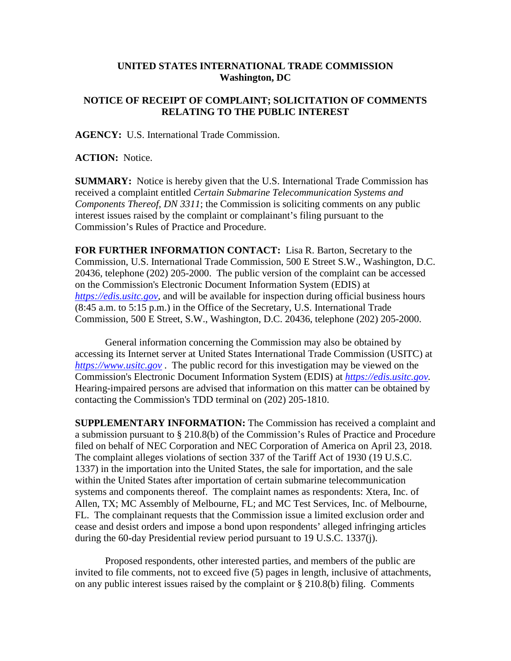## **UNITED STATES INTERNATIONAL TRADE COMMISSION Washington, DC**

## **NOTICE OF RECEIPT OF COMPLAINT; SOLICITATION OF COMMENTS RELATING TO THE PUBLIC INTEREST**

**AGENCY:** U.S. International Trade Commission.

**ACTION:** Notice.

**SUMMARY:** Notice is hereby given that the U.S. International Trade Commission has received a complaint entitled *Certain Submarine Telecommunication Systems and Components Thereof, DN 3311*; the Commission is soliciting comments on any public interest issues raised by the complaint or complainant's filing pursuant to the Commission's Rules of Practice and Procedure.

**FOR FURTHER INFORMATION CONTACT:** Lisa R. Barton, Secretary to the Commission, U.S. International Trade Commission, 500 E Street S.W., Washington, D.C. 20436, telephone (202) 205-2000. The public version of the complaint can be accessed on the Commission's Electronic Document Information System (EDIS) at *[https://edis.usitc.gov](https://edis.usitc.gov/)*, and will be available for inspection during official business hours (8:45 a.m. to 5:15 p.m.) in the Office of the Secretary, U.S. International Trade Commission, 500 E Street, S.W., Washington, D.C. 20436, telephone (202) 205-2000.

General information concerning the Commission may also be obtained by accessing its Internet server at United States International Trade Commission (USITC) at *[https://www.usitc.gov](https://www.usitc.gov/)* . The public record for this investigation may be viewed on the Commission's Electronic Document Information System (EDIS) at *[https://edis.usitc.gov.](https://edis.usitc.gov/)* Hearing-impaired persons are advised that information on this matter can be obtained by contacting the Commission's TDD terminal on (202) 205-1810.

**SUPPLEMENTARY INFORMATION:** The Commission has received a complaint and a submission pursuant to § 210.8(b) of the Commission's Rules of Practice and Procedure filed on behalf of NEC Corporation and NEC Corporation of America on April 23, 2018. The complaint alleges violations of section 337 of the Tariff Act of 1930 (19 U.S.C. 1337) in the importation into the United States, the sale for importation, and the sale within the United States after importation of certain submarine telecommunication systems and components thereof. The complaint names as respondents: Xtera, Inc. of Allen, TX; MC Assembly of Melbourne, FL; and MC Test Services, Inc. of Melbourne, FL. The complainant requests that the Commission issue a limited exclusion order and cease and desist orders and impose a bond upon respondents' alleged infringing articles during the 60-day Presidential review period pursuant to 19 U.S.C. 1337(j).

Proposed respondents, other interested parties, and members of the public are invited to file comments, not to exceed five (5) pages in length, inclusive of attachments, on any public interest issues raised by the complaint or § 210.8(b) filing. Comments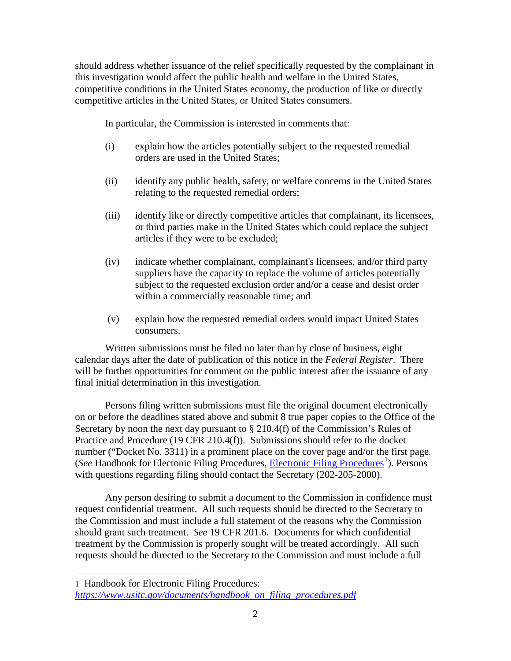should address whether issuance of the relief specifically requested by the complainant in this investigation would affect the public health and welfare in the United States, competitive conditions in the United States economy, the production of like or directly competitive articles in the United States, or United States consumers.

In particular, the Commission is interested in comments that:

- (i) explain how the articles potentially subject to the requested remedial orders are used in the United States;
- (ii) identify any public health, safety, or welfare concerns in the United States relating to the requested remedial orders;
- (iii) identify like or directly competitive articles that complainant, its licensees, or third parties make in the United States which could replace the subject articles if they were to be excluded;
- (iv) indicate whether complainant, complainant's licensees, and/or third party suppliers have the capacity to replace the volume of articles potentially subject to the requested exclusion order and/or a cease and desist order within a commercially reasonable time; and
- (v) explain how the requested remedial orders would impact United States consumers.

Written submissions must be filed no later than by close of business, eight calendar days after the date of publication of this notice in the *Federal Register*. There will be further opportunities for comment on the public interest after the issuance of any final initial determination in this investigation.

Persons filing written submissions must file the original document electronically on or before the deadlines stated above and submit 8 true paper copies to the Office of the Secretary by noon the next day pursuant to § 210.4(f) of the Commission's Rules of Practice and Procedure (19 CFR 210.4(f)). Submissions should refer to the docket number ("Docket No. 3311) in a prominent place on the cover page and/or the first page. (See Handbook for Electonic Filing Procedures, *Electronic Filing Procedures*<sup>[1](#page-1-0)</sup>). Persons with questions regarding filing should contact the Secretary (202-205-2000).

Any person desiring to submit a document to the Commission in confidence must request confidential treatment. All such requests should be directed to the Secretary to the Commission and must include a full statement of the reasons why the Commission should grant such treatment. *See* 19 CFR 201.6. Documents for which confidential treatment by the Commission is properly sought will be treated accordingly. All such requests should be directed to the Secretary to the Commission and must include a full

 $\overline{a}$ 

<span id="page-1-0"></span><sup>1</sup> Handbook for Electronic Filing Procedures: *[https://www.usitc.gov/documents/handbook\\_on\\_filing\\_procedures.pdf](https://www.usitc.gov/documents/handbook_on_filing_procedures.pdf)*